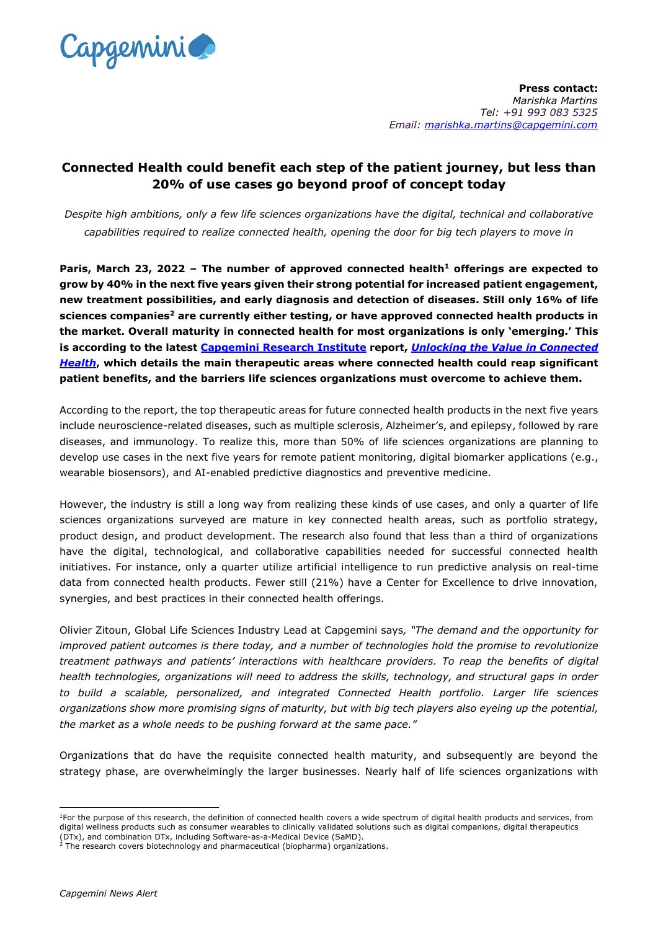

## **Connected Health could benefit each step of the patient journey, but less than 20% of use cases go beyond proof of concept today**

*Despite high ambitions, only a few life sciences organizations have the digital, technical and collaborative capabilities required to realize connected health, opening the door for big tech players to move in*

**Paris, March 23, 2022 – The number of approved connected health<sup>1</sup> offerings are expected to grow by 40% in the next five years given their strong potential for increased patient engagement, new treatment possibilities, and early diagnosis and detection of diseases. Still only 16% of life sciences companies<sup>2</sup> are currently either testing, or have approved connected health products in the market. Overall maturity in connected health for most organizations is only 'emerging.' This is according to the latest [Capgemini Research Institute](http://www.capgemini.com/research-institute) report,** *[Unlocking the Value in Connected](https://www.capgemini.com/research/unlocking-the-value-in-connected-health?utm_source=pr&utm_medium=referral&utm_content=none_none_link_pressrelease_none&utm_campaign=lifescience_connected_health)  [Health](https://www.capgemini.com/research/unlocking-the-value-in-connected-health?utm_source=pr&utm_medium=referral&utm_content=none_none_link_pressrelease_none&utm_campaign=lifescience_connected_health)***, which details the main therapeutic areas where connected health could reap significant patient benefits, and the barriers life sciences organizations must overcome to achieve them.** 

According to the report, the top therapeutic areas for future connected health products in the next five years include neuroscience-related diseases, such as multiple sclerosis, Alzheimer's, and epilepsy, followed by rare diseases, and immunology. To realize this, more than 50% of life sciences organizations are planning to develop use cases in the next five years for remote patient monitoring, digital biomarker applications (e.g., wearable biosensors), and AI-enabled predictive diagnostics and preventive medicine.

However, the industry is still a long way from realizing these kinds of use cases, and only a quarter of life sciences organizations surveyed are mature in key connected health areas, such as portfolio strategy, product design, and product development. The research also found that less than a third of organizations have the digital, technological, and collaborative capabilities needed for successful connected health initiatives. For instance, only a quarter utilize artificial intelligence to run predictive analysis on real-time data from connected health products. Fewer still (21%) have a Center for Excellence to drive innovation, synergies, and best practices in their connected health offerings.

Olivier Zitoun, Global Life Sciences Industry Lead at Capgemini says*, "The demand and the opportunity for improved patient outcomes is there today, and a number of technologies hold the promise to revolutionize treatment pathways and patients' interactions with healthcare providers. To reap the benefits of digital health technologies, organizations will need to address the skills, technology, and structural gaps in order to build a scalable, personalized, and integrated Connected Health portfolio. Larger life sciences organizations show more promising signs of maturity, but with big tech players also eyeing up the potential, the market as a whole needs to be pushing forward at the same pace."* 

Organizations that do have the requisite connected health maturity, and subsequently are beyond the strategy phase, are overwhelmingly the larger businesses. Nearly half of life sciences organizations with

-

<sup>&</sup>lt;sup>1</sup>For the purpose of this research, the definition of connected health covers a wide spectrum of digital health products and services, from digital wellness products such as consumer wearables to clinically validated solutions such as digital companions, digital therapeutics

<sup>(</sup>DTx), and combination DTx, including Software-as-a-Medical Device (SaMD). <sup>2</sup> The research covers biotechnology and pharmaceutical (biopharma) organizations.